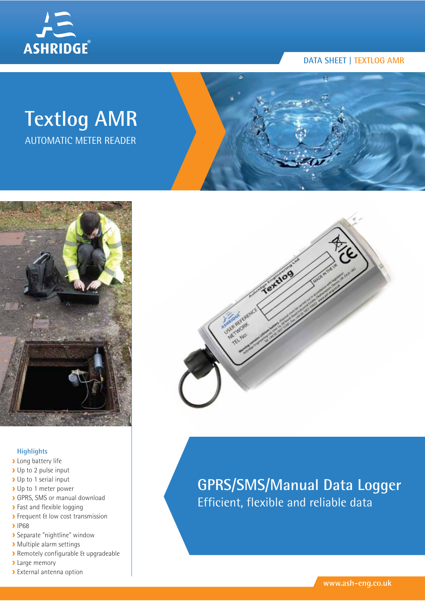

#### **DATA SHEET | TEXTLOG AMR**

# **Textlog AMR** AUTOMATIC METER READER



#### **Highlights**

- **Long battery life**
- Up to 2 pulse input
- Up to 1 serial input
- Up to 1 meter power
- GPRS, SMS or manual download
- **>** Fast and flexible logging
- **>** Frequent & low cost transmission
- **>** IP68
- Separate "nightline" window
- Multiple alarm settings
- Remotely configurable & upgradeable
- **>** Large memory
- External antenna option



# **GPRS/SMS/Manual Data Logger** Efficient, flexible and reliable data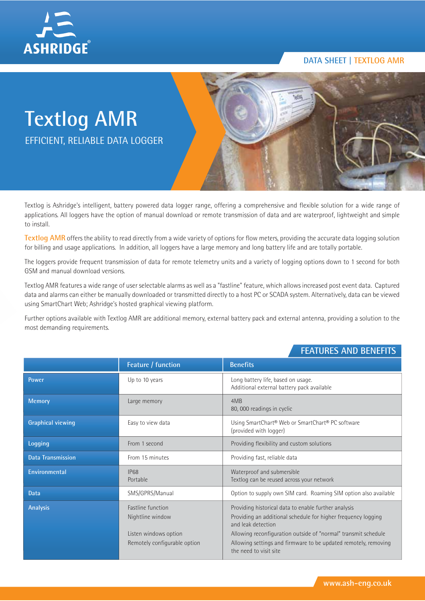

#### **DATA SHEET | TEXTLOG AMR**

# **Textlog AMR** EFFICIENT, RELIABLE DATA LOGGER

Textlog is Ashridge's intelligent, battery powered data logger range, offering a comprehensive and flexible solution for a wide range of applications. All loggers have the option of manual download or remote transmission of data and are waterproof, lightweight and simple to install.

Textlog AMR offers the ability to read directly from a wide variety of options for flow meters, providing the accurate data logging solution for billing and usage applications. In addition, all loggers have a large memory and long battery life and are totally portable.

The loggers provide frequent transmission of data for remote telemetry units and a variety of logging options down to 1 second for both GSM and manual download versions.

Textlog AMR features a wide range of user selectable alarms as well as a "fastline" feature, which allows increased post event data. Captured data and alarms can either be manually downloaded or transmitted directly to a host PC or SCADA system. Alternatively, data can be viewed using SmartChart Web; Ashridge's hosted graphical viewing platform.

Further options available with Textlog AMR are additional memory, external battery pack and external antenna, providing a solution to the most demanding requirements.

|                          | Feature / function                                                                                    | <b>Benefits</b>                                                                                                                                                                                                                                                                                            |  |  |  |  |  |  |  |  |
|--------------------------|-------------------------------------------------------------------------------------------------------|------------------------------------------------------------------------------------------------------------------------------------------------------------------------------------------------------------------------------------------------------------------------------------------------------------|--|--|--|--|--|--|--|--|
| Power                    | Up to 10 years                                                                                        | Long battery life, based on usage.<br>Additional external battery pack available                                                                                                                                                                                                                           |  |  |  |  |  |  |  |  |
| <b>Memory</b>            | Large memory                                                                                          | 4MB<br>80, 000 readings in cyclic                                                                                                                                                                                                                                                                          |  |  |  |  |  |  |  |  |
| <b>Graphical viewing</b> | Easy to view data                                                                                     | Using SmartChart® Web or SmartChart® PC software<br>(provided with logger)                                                                                                                                                                                                                                 |  |  |  |  |  |  |  |  |
| Logging                  | From 1 second                                                                                         | Providing flexibility and custom solutions                                                                                                                                                                                                                                                                 |  |  |  |  |  |  |  |  |
| <b>Data Transmission</b> | From 15 minutes                                                                                       | Providing fast, reliable data                                                                                                                                                                                                                                                                              |  |  |  |  |  |  |  |  |
| Environmental            | <b>IP68</b><br>Portable                                                                               | Waterproof and submersible<br>Textlog can be reused across your network                                                                                                                                                                                                                                    |  |  |  |  |  |  |  |  |
| Data                     | SMS/GPRS/Manual                                                                                       | Option to supply own SIM card. Roaming SIM option also available                                                                                                                                                                                                                                           |  |  |  |  |  |  |  |  |
| <b>Analysis</b>          | <b>Fastline function</b><br>Nightline window<br>Listen windows option<br>Remotely configurable option | Providing historical data to enable further analysis<br>Providing an additional schedule for higher frequency logging<br>and leak detection<br>Allowing reconfiguration outside of "normal" transmit schedule<br>Allowing settings and firmware to be updated remotely, removing<br>the need to visit site |  |  |  |  |  |  |  |  |

### **FEATURES AND BENEFITS**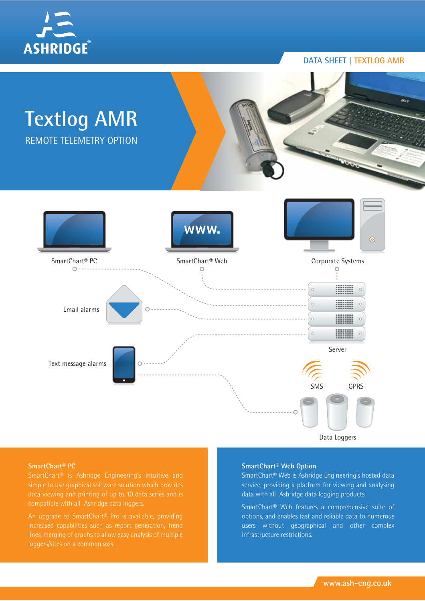

#### **DATA SHEET | TEXTLOG AMR**



**SmartChart® PC**

An upgrade to SmartChart® Pro is available, providing

#### **SmartChart® Web Option**

SmartChart® Web is Ashridge Engineering's hosted data service, providing a platform for viewing and analysing data with all Ashridge data logging products.

SmartChart® Web features a comprehensive suite of options, and enables fast and reliable data to numerous users without geographical and other complex infrastructure restrictions.